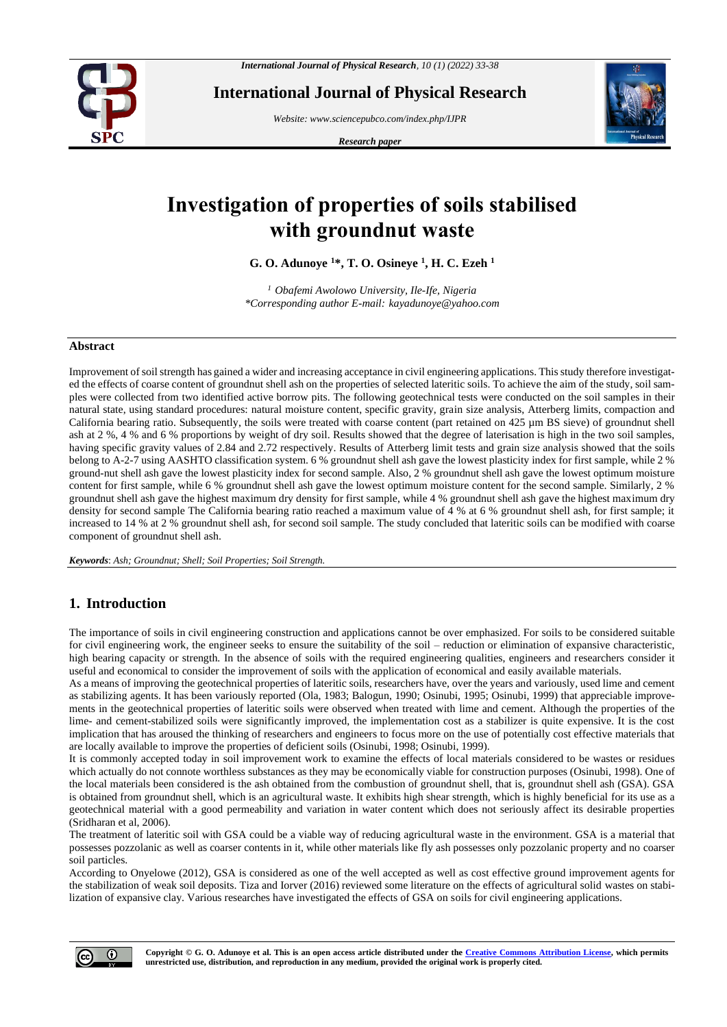

**International Journal of Physical Research**

*Website: www.sciencepubco.com/index.php/IJPR*

*Research paper*



# **Investigation of properties of soils stabilised with groundnut waste**

**G. O. Adunoye <sup>1</sup>\*, T. O. Osineye <sup>1</sup> , H. C. Ezeh <sup>1</sup>**

*<sup>1</sup> Obafemi Awolowo University, Ile-Ife, Nigeria \*Corresponding author E-mail: kayadunoye@yahoo.com*

#### **Abstract**

Improvement of soil strength has gained a wider and increasing acceptance in civil engineering applications. This study therefore investigated the effects of coarse content of groundnut shell ash on the properties of selected lateritic soils. To achieve the aim of the study, soil samples were collected from two identified active borrow pits. The following geotechnical tests were conducted on the soil samples in their natural state, using standard procedures: natural moisture content, specific gravity, grain size analysis, Atterberg limits, compaction and California bearing ratio. Subsequently, the soils were treated with coarse content (part retained on 425 µm BS sieve) of groundnut shell ash at 2 %, 4 % and 6 % proportions by weight of dry soil. Results showed that the degree of laterisation is high in the two soil samples, having specific gravity values of 2.84 and 2.72 respectively. Results of Atterberg limit tests and grain size analysis showed that the soils belong to A-2-7 using AASHTO classification system. 6 % groundnut shell ash gave the lowest plasticity index for first sample, while 2 % ground-nut shell ash gave the lowest plasticity index for second sample. Also, 2 % groundnut shell ash gave the lowest optimum moisture content for first sample, while 6 % groundnut shell ash gave the lowest optimum moisture content for the second sample. Similarly, 2 % groundnut shell ash gave the highest maximum dry density for first sample, while 4 % groundnut shell ash gave the highest maximum dry density for second sample The California bearing ratio reached a maximum value of 4 % at 6 % groundnut shell ash, for first sample; it increased to 14 % at 2 % groundnut shell ash, for second soil sample. The study concluded that lateritic soils can be modified with coarse component of groundnut shell ash.

*Keywords*: *Ash; Groundnut; Shell; Soil Properties; Soil Strength.*

## **1. Introduction**

The importance of soils in civil engineering construction and applications cannot be over emphasized. For soils to be considered suitable for civil engineering work, the engineer seeks to ensure the suitability of the soil – reduction or elimination of expansive characteristic, high bearing capacity or strength. In the absence of soils with the required engineering qualities, engineers and researchers consider it useful and economical to consider the improvement of soils with the application of economical and easily available materials.

As a means of improving the geotechnical properties of lateritic soils, researchers have, over the years and variously, used lime and cement as stabilizing agents. It has been variously reported (Ola, 1983; Balogun, 1990; Osinubi, 1995; Osinubi, 1999) that appreciable improvements in the geotechnical properties of lateritic soils were observed when treated with lime and cement. Although the properties of the lime- and cement-stabilized soils were significantly improved, the implementation cost as a stabilizer is quite expensive. It is the cost implication that has aroused the thinking of researchers and engineers to focus more on the use of potentially cost effective materials that are locally available to improve the properties of deficient soils (Osinubi, 1998; Osinubi, 1999).

It is commonly accepted today in soil improvement work to examine the effects of local materials considered to be wastes or residues which actually do not connote worthless substances as they may be economically viable for construction purposes (Osinubi, 1998). One of the local materials been considered is the ash obtained from the combustion of groundnut shell, that is, groundnut shell ash (GSA). GSA is obtained from groundnut shell, which is an agricultural waste. It exhibits high shear strength, which is highly beneficial for its use as a geotechnical material with a good permeability and variation in water content which does not seriously affect its desirable properties (Sridharan et al, 2006).

The treatment of lateritic soil with GSA could be a viable way of reducing agricultural waste in the environment. GSA is a material that possesses pozzolanic as well as coarser contents in it, while other materials like fly ash possesses only pozzolanic property and no coarser soil particles.

According to Onyelowe (2012), GSA is considered as one of the well accepted as well as cost effective ground improvement agents for the stabilization of weak soil deposits. Tiza and Iorver (2016) reviewed some literature on the effects of agricultural solid wastes on stabilization of expansive clay. Various researches have investigated the effects of GSA on soils for civil engineering applications.

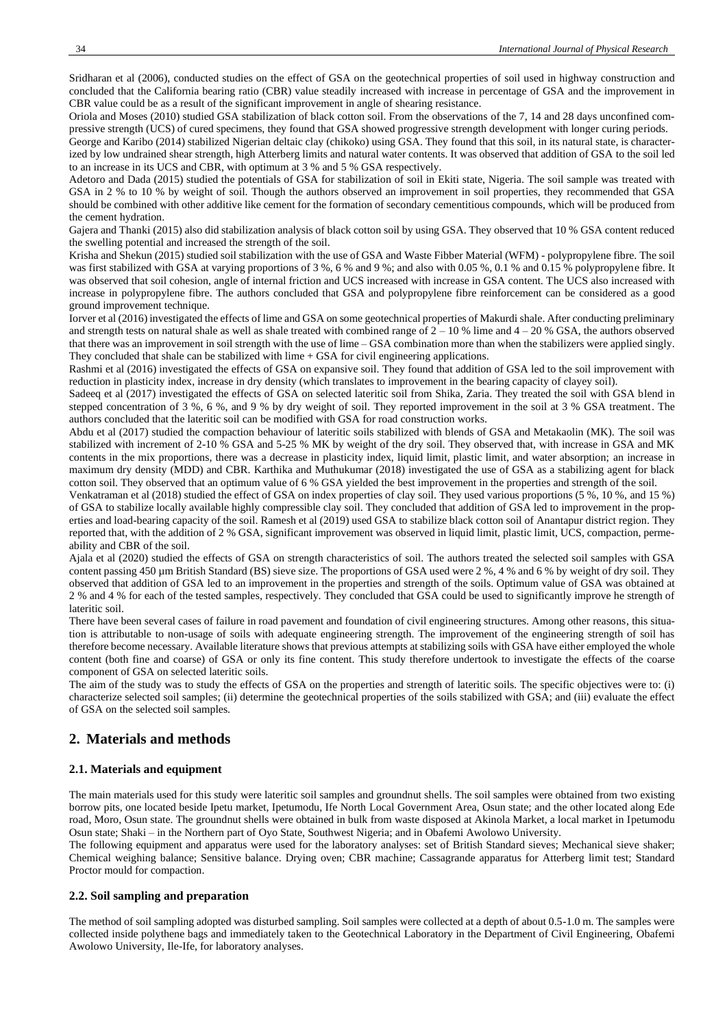Sridharan et al (2006), conducted studies on the effect of GSA on the geotechnical properties of soil used in highway construction and concluded that the California bearing ratio (CBR) value steadily increased with increase in percentage of GSA and the improvement in CBR value could be as a result of the significant improvement in angle of shearing resistance.

Oriola and Moses (2010) studied GSA stabilization of black cotton soil. From the observations of the 7, 14 and 28 days unconfined compressive strength (UCS) of cured specimens, they found that GSA showed progressive strength development with longer curing periods.

George and Karibo (2014) stabilized Nigerian deltaic clay (chikoko) using GSA. They found that this soil, in its natural state, is characterized by low undrained shear strength, high Atterberg limits and natural water contents. It was observed that addition of GSA to the soil led to an increase in its UCS and CBR, with optimum at 3 % and 5 % GSA respectively.

Adetoro and Dada (2015) studied the potentials of GSA for stabilization of soil in Ekiti state, Nigeria. The soil sample was treated with GSA in 2 % to 10 % by weight of soil. Though the authors observed an improvement in soil properties, they recommended that GSA should be combined with other additive like cement for the formation of secondary cementitious compounds, which will be produced from the cement hydration.

Gajera and Thanki (2015) also did stabilization analysis of black cotton soil by using GSA. They observed that 10 % GSA content reduced the swelling potential and increased the strength of the soil.

Krisha and Shekun (2015) studied soil stabilization with the use of GSA and Waste Fibber Material (WFM) - polypropylene fibre. The soil was first stabilized with GSA at varying proportions of 3 %, 6 % and 9 %; and also with 0.05 %, 0.1 % and 0.15 % polypropylene fibre. It was observed that soil cohesion, angle of internal friction and UCS increased with increase in GSA content. The UCS also increased with increase in polypropylene fibre. The authors concluded that GSA and polypropylene fibre reinforcement can be considered as a good ground improvement technique.

Iorver et al (2016) investigated the effects of lime and GSA on some geotechnical properties of Makurdi shale. After conducting preliminary and strength tests on natural shale as well as shale treated with combined range of  $2 - 10$  % lime and  $4 - 20$  % GSA, the authors observed that there was an improvement in soil strength with the use of lime – GSA combination more than when the stabilizers were applied singly. They concluded that shale can be stabilized with lime + GSA for civil engineering applications.

Rashmi et al (2016) investigated the effects of GSA on expansive soil. They found that addition of GSA led to the soil improvement with reduction in plasticity index, increase in dry density (which translates to improvement in the bearing capacity of clayey soil).

Sadeeq et al (2017) investigated the effects of GSA on selected lateritic soil from Shika, Zaria. They treated the soil with GSA blend in stepped concentration of 3 %, 6 %, and 9 % by dry weight of soil. They reported improvement in the soil at 3 % GSA treatment. The authors concluded that the lateritic soil can be modified with GSA for road construction works.

Abdu et al (2017) studied the compaction behaviour of lateritic soils stabilized with blends of GSA and Metakaolin (MK). The soil was stabilized with increment of 2-10 % GSA and 5-25 % MK by weight of the dry soil. They observed that, with increase in GSA and MK contents in the mix proportions, there was a decrease in plasticity index, liquid limit, plastic limit, and water absorption; an increase in maximum dry density (MDD) and CBR. Karthika and Muthukumar (2018) investigated the use of GSA as a stabilizing agent for black cotton soil. They observed that an optimum value of 6 % GSA yielded the best improvement in the properties and strength of the soil.

Venkatraman et al (2018) studied the effect of GSA on index properties of clay soil. They used various proportions (5 %, 10 %, and 15 %) of GSA to stabilize locally available highly compressible clay soil. They concluded that addition of GSA led to improvement in the properties and load-bearing capacity of the soil. Ramesh et al (2019) used GSA to stabilize black cotton soil of Anantapur district region. They reported that, with the addition of 2 % GSA, significant improvement was observed in liquid limit, plastic limit, UCS, compaction, permeability and CBR of the soil.

Ajala et al (2020) studied the effects of GSA on strength characteristics of soil. The authors treated the selected soil samples with GSA content passing 450 µm British Standard (BS) sieve size. The proportions of GSA used were 2 %, 4 % and 6 % by weight of dry soil. They observed that addition of GSA led to an improvement in the properties and strength of the soils. Optimum value of GSA was obtained at 2 % and 4 % for each of the tested samples, respectively. They concluded that GSA could be used to significantly improve he strength of lateritic soil.

There have been several cases of failure in road pavement and foundation of civil engineering structures. Among other reasons, this situation is attributable to non-usage of soils with adequate engineering strength. The improvement of the engineering strength of soil has therefore become necessary. Available literature shows that previous attempts at stabilizing soils with GSA have either employed the whole content (both fine and coarse) of GSA or only its fine content. This study therefore undertook to investigate the effects of the coarse component of GSA on selected lateritic soils.

The aim of the study was to study the effects of GSA on the properties and strength of lateritic soils. The specific objectives were to: (i) characterize selected soil samples; (ii) determine the geotechnical properties of the soils stabilized with GSA; and (iii) evaluate the effect of GSA on the selected soil samples.

## **2. Materials and methods**

#### **2.1. Materials and equipment**

The main materials used for this study were lateritic soil samples and groundnut shells. The soil samples were obtained from two existing borrow pits, one located beside Ipetu market, Ipetumodu, Ife North Local Government Area, Osun state; and the other located along Ede road, Moro, Osun state. The groundnut shells were obtained in bulk from waste disposed at Akinola Market, a local market in Ipetumodu Osun state; Shaki – in the Northern part of Oyo State, Southwest Nigeria; and in Obafemi Awolowo University.

The following equipment and apparatus were used for the laboratory analyses: set of British Standard sieves; Mechanical sieve shaker; Chemical weighing balance; Sensitive balance. Drying oven; CBR machine; Cassagrande apparatus for Atterberg limit test; Standard Proctor mould for compaction.

#### **2.2. Soil sampling and preparation**

The method of soil sampling adopted was disturbed sampling. Soil samples were collected at a depth of about 0.5-1.0 m. The samples were collected inside polythene bags and immediately taken to the Geotechnical Laboratory in the Department of Civil Engineering, Obafemi Awolowo University, Ile-Ife, for laboratory analyses.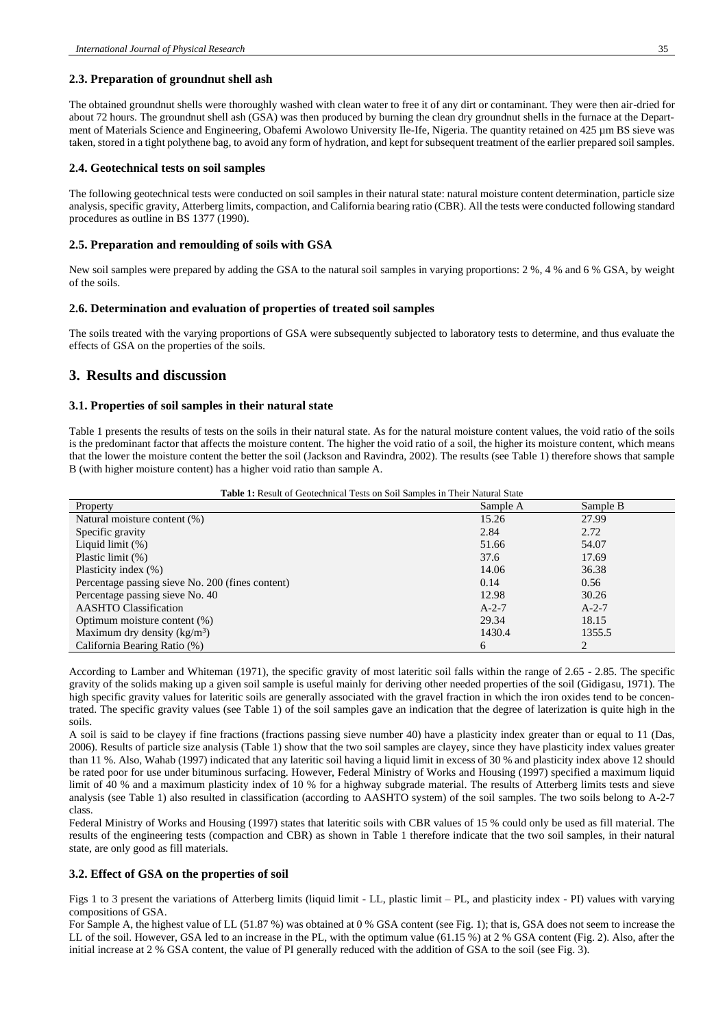#### **2.3. Preparation of groundnut shell ash**

The obtained groundnut shells were thoroughly washed with clean water to free it of any dirt or contaminant. They were then air-dried for about 72 hours. The groundnut shell ash (GSA) was then produced by burning the clean dry groundnut shells in the furnace at the Department of Materials Science and Engineering, Obafemi Awolowo University Ile-Ife, Nigeria. The quantity retained on 425  $\mu$ m BS sieve was taken, stored in a tight polythene bag, to avoid any form of hydration, and kept for subsequent treatment of the earlier prepared soil samples.

#### **2.4. Geotechnical tests on soil samples**

The following geotechnical tests were conducted on soil samples in their natural state: natural moisture content determination, particle size analysis, specific gravity, Atterberg limits, compaction, and California bearing ratio (CBR). All the tests were conducted following standard procedures as outline in BS 1377 (1990).

#### **2.5. Preparation and remoulding of soils with GSA**

New soil samples were prepared by adding the GSA to the natural soil samples in varying proportions: 2 %, 4 % and 6 % GSA, by weight of the soils.

#### **2.6. Determination and evaluation of properties of treated soil samples**

The soils treated with the varying proportions of GSA were subsequently subjected to laboratory tests to determine, and thus evaluate the effects of GSA on the properties of the soils.

### **3. Results and discussion**

#### **3.1. Properties of soil samples in their natural state**

Table 1 presents the results of tests on the soils in their natural state. As for the natural moisture content values, the void ratio of the soils is the predominant factor that affects the moisture content. The higher the void ratio of a soil, the higher its moisture content, which means that the lower the moisture content the better the soil (Jackson and Ravindra, 2002). The results (see Table 1) therefore shows that sample B (with higher moisture content) has a higher void ratio than sample A.

| Property                                         | Sample A | Sample B |
|--------------------------------------------------|----------|----------|
| Natural moisture content (%)                     | 15.26    | 27.99    |
| Specific gravity                                 | 2.84     | 2.72     |
| Liquid limit $(\%)$                              | 51.66    | 54.07    |
| Plastic limit (%)                                | 37.6     | 17.69    |
| Plasticity index (%)                             | 14.06    | 36.38    |
| Percentage passing sieve No. 200 (fines content) | 0.14     | 0.56     |
| Percentage passing sieve No. 40                  | 12.98    | 30.26    |
| <b>AASHTO</b> Classification                     | $A-2-7$  | $A-2-7$  |
| Optimum moisture content (%)                     | 29.34    | 18.15    |
| Maximum dry density $(kg/m3)$                    | 1430.4   | 1355.5   |
| California Bearing Ratio (%)                     | 6        | C        |

According to Lamber and Whiteman (1971), the specific gravity of most lateritic soil falls within the range of 2.65 - 2.85. The specific gravity of the solids making up a given soil sample is useful mainly for deriving other needed properties of the soil (Gidigasu, 1971). The high specific gravity values for lateritic soils are generally associated with the gravel fraction in which the iron oxides tend to be concentrated. The specific gravity values (see Table 1) of the soil samples gave an indication that the degree of laterization is quite high in the soils.

A soil is said to be clayey if fine fractions (fractions passing sieve number 40) have a plasticity index greater than or equal to 11 (Das, 2006). Results of particle size analysis (Table 1) show that the two soil samples are clayey, since they have plasticity index values greater than 11 %. Also, Wahab (1997) indicated that any lateritic soil having a liquid limit in excess of 30 % and plasticity index above 12 should be rated poor for use under bituminous surfacing. However, Federal Ministry of Works and Housing (1997) specified a maximum liquid limit of 40 % and a maximum plasticity index of 10 % for a highway subgrade material. The results of Atterberg limits tests and sieve analysis (see Table 1) also resulted in classification (according to AASHTO system) of the soil samples. The two soils belong to A-2-7 class.

Federal Ministry of Works and Housing (1997) states that lateritic soils with CBR values of 15 % could only be used as fill material. The results of the engineering tests (compaction and CBR) as shown in Table 1 therefore indicate that the two soil samples, in their natural state, are only good as fill materials.

#### **3.2. Effect of GSA on the properties of soil**

Figs 1 to 3 present the variations of Atterberg limits (liquid limit - LL, plastic limit – PL, and plasticity index - PI) values with varying compositions of GSA.

For Sample A, the highest value of LL (51.87 %) was obtained at 0 % GSA content (see Fig. 1); that is, GSA does not seem to increase the LL of the soil. However, GSA led to an increase in the PL, with the optimum value (61.15 %) at 2 % GSA content (Fig. 2). Also, after the initial increase at 2 % GSA content, the value of PI generally reduced with the addition of GSA to the soil (see Fig. 3).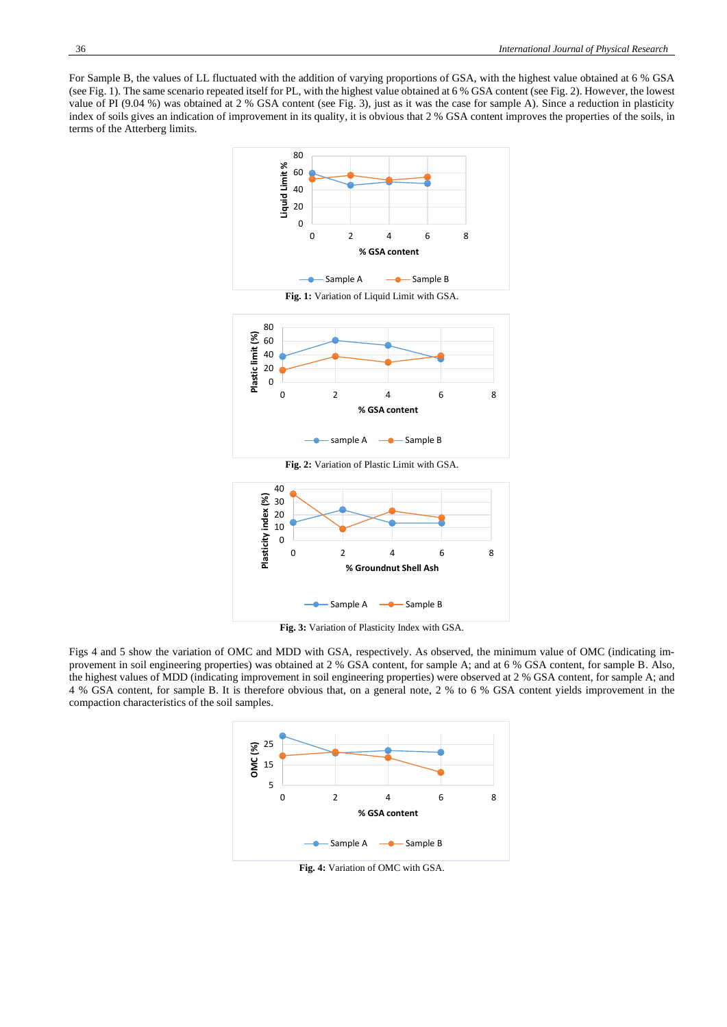For Sample B, the values of LL fluctuated with the addition of varying proportions of GSA, with the highest value obtained at 6 % GSA (see Fig. 1). The same scenario repeated itself for PL, with the highest value obtained at 6 % GSA content (see Fig. 2). However, the lowest value of PI (9.04 %) was obtained at 2 % GSA content (see Fig. 3), just as it was the case for sample A). Since a reduction in plasticity index of soils gives an indication of improvement in its quality, it is obvious that 2 % GSA content improves the properties of the soils, in terms of the Atterberg limits.





**Fig. 3:** Variation of Plasticity Index with GSA.

Figs 4 and 5 show the variation of OMC and MDD with GSA, respectively. As observed, the minimum value of OMC (indicating improvement in soil engineering properties) was obtained at 2 % GSA content, for sample A; and at 6 % GSA content, for sample B. Also, the highest values of MDD (indicating improvement in soil engineering properties) were observed at 2 % GSA content, for sample A; and 4 % GSA content, for sample B. It is therefore obvious that, on a general note, 2 % to 6 % GSA content yields improvement in the compaction characteristics of the soil samples.



**Fig. 4:** Variation of OMC with GSA.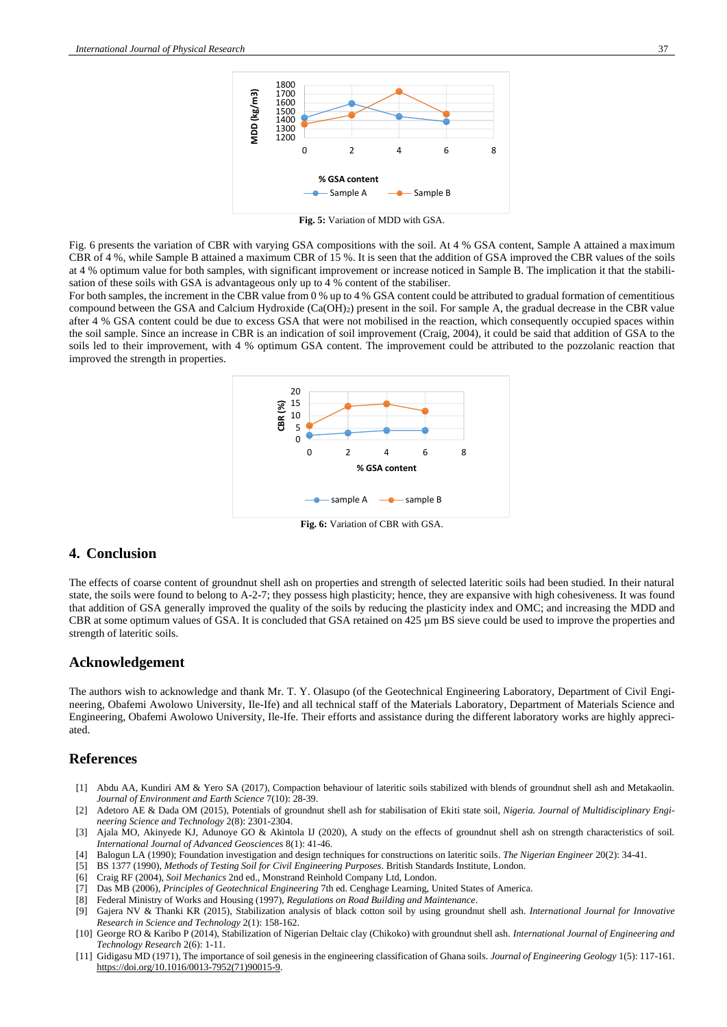

**Fig. 5:** Variation of MDD with GSA.

Fig. 6 presents the variation of CBR with varying GSA compositions with the soil. At 4 % GSA content, Sample A attained a maximum CBR of 4 %, while Sample B attained a maximum CBR of 15 %. It is seen that the addition of GSA improved the CBR values of the soils at 4 % optimum value for both samples, with significant improvement or increase noticed in Sample B. The implication it that the stabilisation of these soils with GSA is advantageous only up to 4 % content of the stabiliser.

For both samples, the increment in the CBR value from 0 % up to 4 % GSA content could be attributed to gradual formation of cementitious compound between the GSA and Calcium Hydroxide (Ca(OH)2) present in the soil. For sample A, the gradual decrease in the CBR value after 4 % GSA content could be due to excess GSA that were not mobilised in the reaction, which consequently occupied spaces within the soil sample. Since an increase in CBR is an indication of soil improvement (Craig, 2004), it could be said that addition of GSA to the soils led to their improvement, with 4 % optimum GSA content. The improvement could be attributed to the pozzolanic reaction that improved the strength in properties.



**Fig. 6:** Variation of CBR with GSA.

## **4. Conclusion**

The effects of coarse content of groundnut shell ash on properties and strength of selected lateritic soils had been studied. In their natural state, the soils were found to belong to A-2-7; they possess high plasticity; hence, they are expansive with high cohesiveness. It was found that addition of GSA generally improved the quality of the soils by reducing the plasticity index and OMC; and increasing the MDD and CBR at some optimum values of GSA. It is concluded that GSA retained on 425  $\mu$ m BS sieve could be used to improve the properties and strength of lateritic soils.

#### **Acknowledgement**

The authors wish to acknowledge and thank Mr. T. Y. Olasupo (of the Geotechnical Engineering Laboratory, Department of Civil Engineering, Obafemi Awolowo University, Ile-Ife) and all technical staff of the Materials Laboratory, Department of Materials Science and Engineering, Obafemi Awolowo University, Ile-Ife. Their efforts and assistance during the different laboratory works are highly appreciated.

#### **References**

- [1] Abdu AA, Kundiri AM & Yero SA (2017), Compaction behaviour of lateritic soils stabilized with blends of groundnut shell ash and Metakaolin. *Journal of Environment and Earth Science* 7(10): 28-39.
- [2] Adetoro AE & Dada OM (2015), Potentials of groundnut shell ash for stabilisation of Ekiti state soil, *Nigeria. Journal of Multidisciplinary Engineering Science and Technology* 2(8): 2301-2304.
- [3] Ajala MO, Akinyede KJ, Adunoye GO & Akintola IJ (2020), A study on the effects of groundnut shell ash on strength characteristics of soil. *International Journal of Advanced Geosciences* 8(1): 41-46.
- [4] Balogun LA (1990); Foundation investigation and design techniques for constructions on lateritic soils. *The Nigerian Engineer* 20(2): 34-41.
- [5] BS 1377 (1990), *Methods of Testing Soil for Civil Engineering Purposes*. British Standards Institute, London.
- [6] Craig RF (2004), *Soil Mechanics* 2nd ed., Monstrand Reinhold Company Ltd, London.
- [7] Das MB (2006), *Principles of Geotechnical Engineering* 7th ed. Cenghage Learning, United States of America.
- [8] Federal Ministry of Works and Housing (1997), *Regulations on Road Building and Maintenance*.
- [9] Gajera NV & Thanki KR (2015), Stabilization analysis of black cotton soil by using groundnut shell ash. *International Journal for Innovative Research in Science and Technology* 2(1): 158-162.
- [10] George RO & Karibo P (2014), Stabilization of Nigerian Deltaic clay (Chikoko) with groundnut shell ash. *International Journal of Engineering and Technology Research* 2(6): 1-11.
- [11] Gidigasu MD (1971), The importance of soil genesis in the engineering classification of Ghana soils. *Journal of Engineering Geology* 1(5): 117-161. [https://doi.org/10.1016/0013-7952\(71\)90015-9.](https://doi.org/10.1016/0013-7952(71)90015-9)